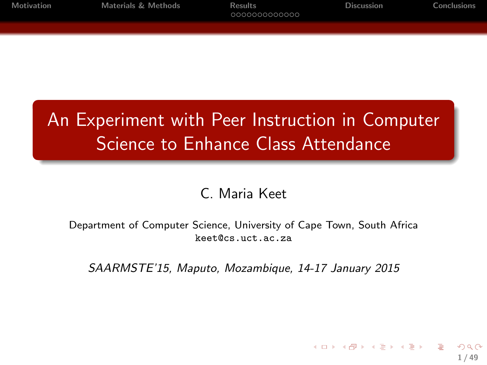| Motivation | <b>Materials &amp; Methods</b> | Results<br>0000000000000 | <b>Discussion</b> | Conclusions |
|------------|--------------------------------|--------------------------|-------------------|-------------|
|            |                                |                          |                   |             |

# An Experiment with Peer Instruction in Computer Science to Enhance Class Attendance

#### C. Maria Keet

Department of Computer Science, University of Cape Town, South Africa keet@cs.uct.ac.za

SAARMSTE'15, Maputo, Mozambique, 14-17 January 2015

1 / 49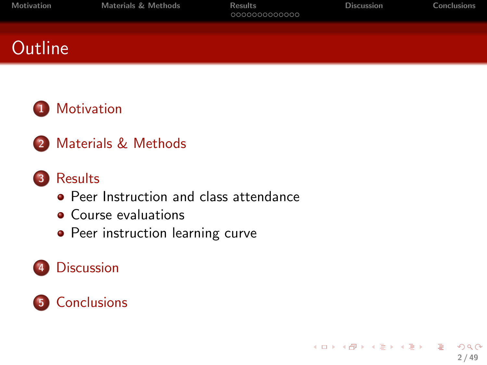| Motivation     | Materials & Methods | Results<br>000000000000 | <b>Discussion</b> | Conclusions |
|----------------|---------------------|-------------------------|-------------------|-------------|
| <b>Outline</b> |                     |                         |                   |             |
|                |                     |                         |                   |             |

#### 1 [Motivation](#page-2-0)

2 [Materials & Methods](#page-14-0)

#### 3 [Results](#page-21-0)

- **[Peer Instruction and class attendance](#page-22-0)**
- [Course evaluations](#page-27-0)
- [Peer instruction learning curve](#page-30-0)

#### 4 [Discussion](#page-36-0)

### 5 [Conclusions](#page-41-0)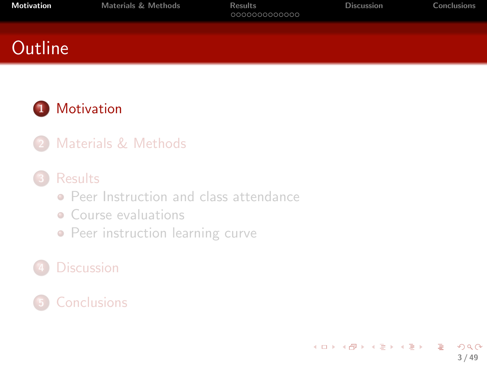<span id="page-2-0"></span>

| Motivation     | <b>Materials &amp; Methods</b> | <b>Results</b><br>000000000000 | <b>Discussion</b> | Conclusions |
|----------------|--------------------------------|--------------------------------|-------------------|-------------|
| <b>Outline</b> |                                |                                |                   |             |
|                |                                |                                |                   |             |

#### 1 [Motivation](#page-2-0)

[Materials & Methods](#page-14-0)

#### **[Results](#page-21-0)**

- **[Peer Instruction and class attendance](#page-22-0)**
- [Course evaluations](#page-27-0)
- [Peer instruction learning curve](#page-30-0)

#### **[Discussion](#page-36-0)**

#### **[Conclusions](#page-41-0)**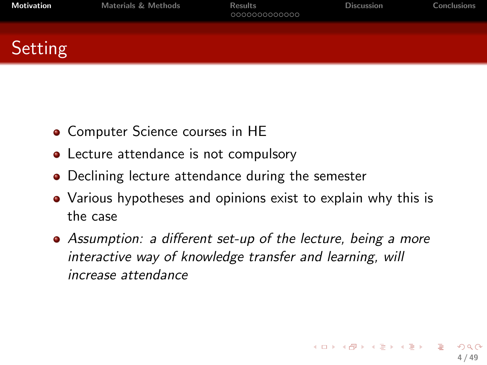| Motivation | <b>Materials &amp; Methods</b> | <b>Results</b><br>000000000000 | <b>Discussion</b> | Conclusions |
|------------|--------------------------------|--------------------------------|-------------------|-------------|
| Setting    |                                |                                |                   |             |
|            |                                |                                |                   |             |

- Computer Science courses in HE
- Lecture attendance is not compulsory
- Declining lecture attendance during the semester
- Various hypotheses and opinions exist to explain why this is the case
- Assumption: a different set-up of the lecture, being a more interactive way of knowledge transfer and learning, will increase attendance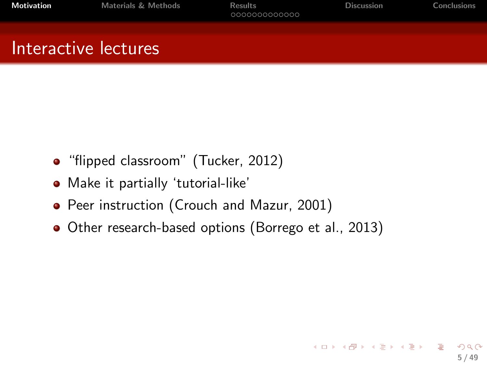| Motivation           | Materials & Methods | <b>Results</b><br>0000000000000 | <b>Discussion</b> | Conclusions |
|----------------------|---------------------|---------------------------------|-------------------|-------------|
| Interactive lectures |                     |                                 |                   |             |

- "flipped classroom" (Tucker, 2012)
- Make it partially 'tutorial-like'
- Peer instruction (Crouch and Mazur, 2001)
- Other research-based options (Borrego et al., 2013)

5 / 49

K ロ > K d > K 글 > K 글 > H 글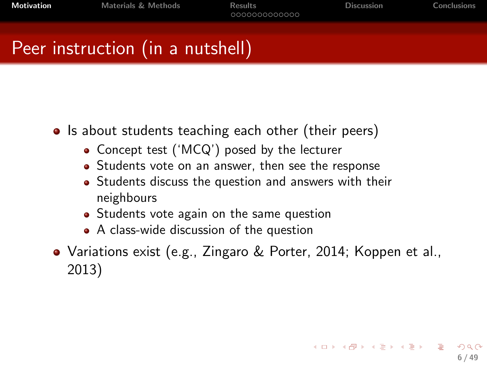**[Motivation](#page-2-0)** [Materials & Methods](#page-14-0) [Results](#page-21-0) **Results** [Discussion](#page-36-0) [Conclusions](#page-41-0) Conclusions

K ロ X K @ X K 경 X K 경 X 시 경 X 시 경

6 / 49

# Peer instruction (in a nutshell)

- Is about students teaching each other (their peers)
	- Concept test ('MCQ') posed by the lecturer
	- Students vote on an answer, then see the response
	- Students discuss the question and answers with their neighbours
	- Students vote again on the same question
	- A class-wide discussion of the question
- Variations exist (e.g., Zingaro & Porter, 2014; Koppen et al., 2013)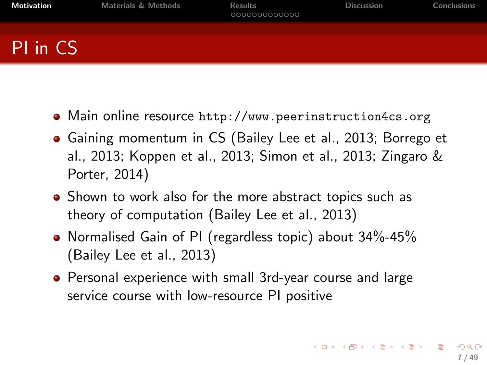| <b>Motivation</b> | <b>Materials &amp; Methods</b> | <b>Results</b><br>000000000000 | <b>Discussion</b> | Conclusions |
|-------------------|--------------------------------|--------------------------------|-------------------|-------------|
| PI in CS          |                                |                                |                   |             |

- Main online resource <http://www.peerinstruction4cs.org>
- Gaining momentum in CS (Bailey Lee et al., 2013; Borrego et al., 2013; Koppen et al., 2013; Simon et al., 2013; Zingaro & Porter, 2014)
- Shown to work also for the more abstract topics such as theory of computation (Bailey Lee et al., 2013)
- Normalised Gain of PI (regardless topic) about 34%-45% (Bailey Lee et al., 2013)
- Personal experience with small 3rd-year course and large service course with low-resource PI positive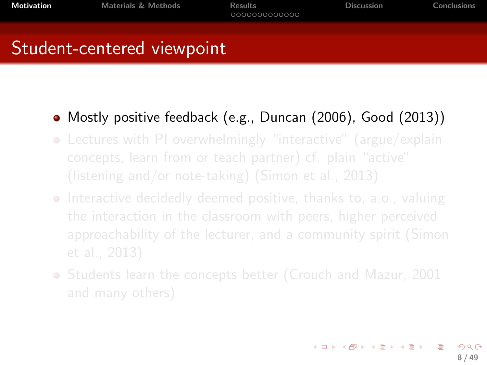# Student-centered viewpoint

#### Mostly positive feedback (e.g., Duncan (2006), Good (2013))

- Lectures with PI overwhelmingly "interactive" (argue/explain
- **Interactive decidedly deemed positive, thanks to, a.o., valuing**
- Students learn the concepts better (Crouch and Mazur, 2001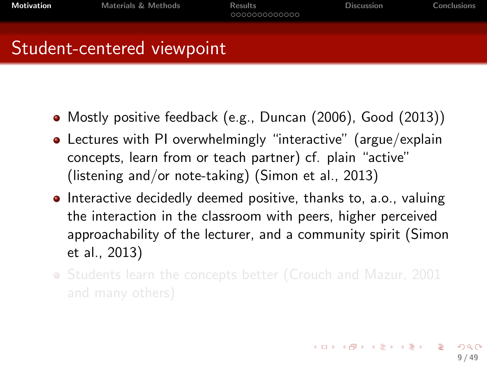Student-centered viewpoint

- Mostly positive feedback (e.g., Duncan (2006), Good (2013))
- Lectures with PI overwhelmingly "interactive" (argue/explain concepts, learn from or teach partner) cf. plain "active" (listening and/or note-taking) (Simon et al., 2013)
- **Interactive decidedly deemed positive, thanks to, a.o., valuing** the interaction in the classroom with peers, higher perceived approachability of the lecturer, and a community spirit (Simon et al., 2013)
- Students learn the concepts better (Crouch and Mazur, 2001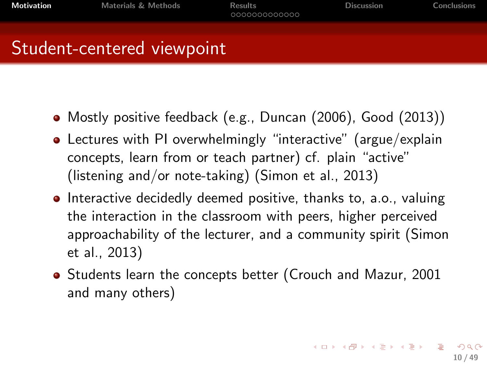## Student-centered viewpoint

- Mostly positive feedback (e.g., Duncan (2006), Good (2013))
- Lectures with PI overwhelmingly "interactive" (argue/explain concepts, learn from or teach partner) cf. plain "active" (listening and/or note-taking) (Simon et al., 2013)
- **Interactive decidedly deemed positive, thanks to, a.o., valuing** the interaction in the classroom with peers, higher perceived approachability of the lecturer, and a community spirit (Simon et al., 2013)
- Students learn the concepts better (Crouch and Mazur, 2001 and many others)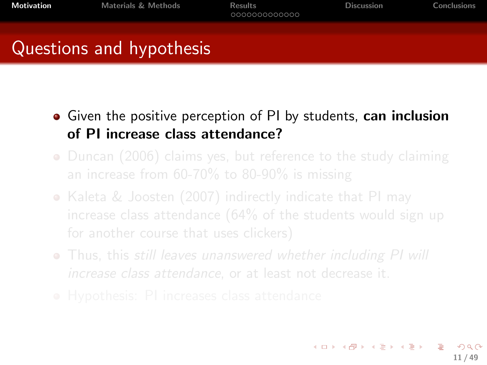# Questions and hypothesis

- Given the positive perception of PI by students, can inclusion of PI increase class attendance?
- Duncan (2006) claims yes, but reference to the study claiming
- Kaleta & Joosten (2007) indirectly indicate that PI may
- Thus, this still leaves unanswered whether including PI will
-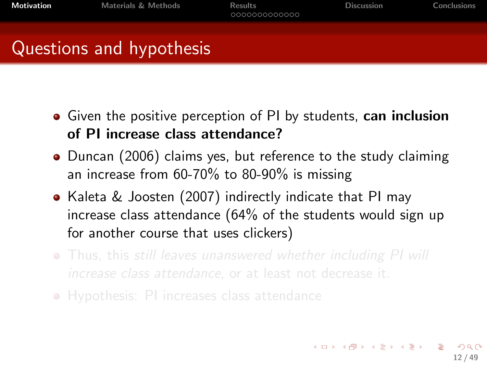Questions and hypothesis

- Given the positive perception of PI by students, can inclusion of PI increase class attendance?
- Duncan (2006) claims yes, but reference to the study claiming an increase from 60-70% to 80-90% is missing
- Kaleta & Joosten (2007) indirectly indicate that PI may increase class attendance (64% of the students would sign up for another course that uses clickers)
- Thus, this still leaves unanswered whether including PI will
- Hypothesis: PI increases class attendance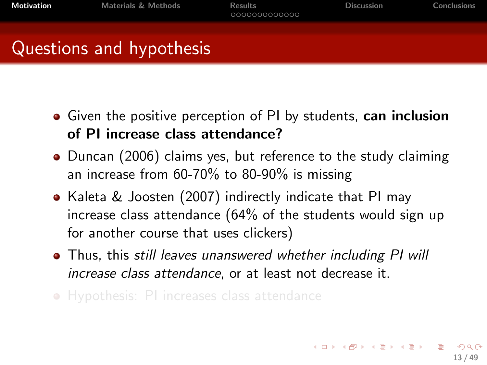Questions and hypothesis

- Given the positive perception of PI by students, can inclusion of PI increase class attendance?
- Duncan (2006) claims yes, but reference to the study claiming an increase from 60-70% to 80-90% is missing
- Kaleta & Joosten (2007) indirectly indicate that PI may increase class attendance (64% of the students would sign up for another course that uses clickers)
- Thus, this still leaves unanswered whether including PI will increase class attendance, or at least not decrease it.
- Hypothesis: PI increases class attendance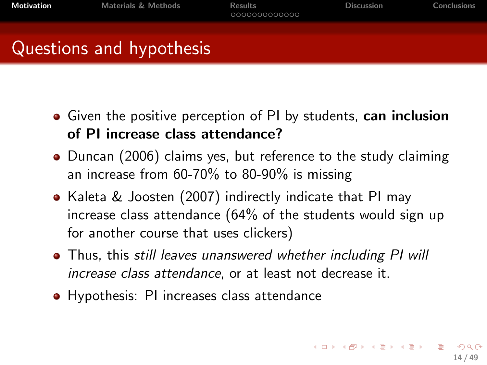- Given the positive perception of PI by students, can inclusion of PI increase class attendance?
- Duncan (2006) claims yes, but reference to the study claiming an increase from 60-70% to 80-90% is missing
- Kaleta & Joosten (2007) indirectly indicate that PI may increase class attendance (64% of the students would sign up for another course that uses clickers)
- Thus, this still leaves unanswered whether including PI will increase class attendance, or at least not decrease it.
- Hypothesis: PI increases class attendance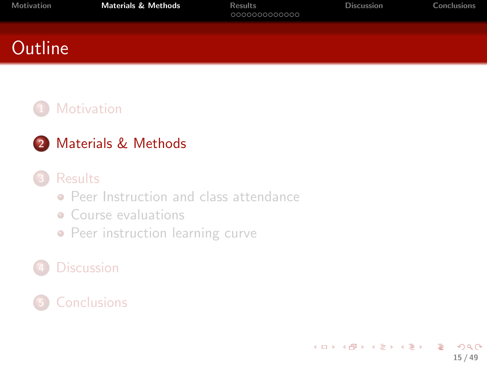<span id="page-14-0"></span>

| Motivation | <b>Materials &amp; Methods</b> | <b>Results</b><br>000000000000 | <b>Discussion</b> | Conclusions |
|------------|--------------------------------|--------------------------------|-------------------|-------------|
| Outline    |                                |                                |                   |             |

#### **[Motivation](#page-2-0)**

#### 2 [Materials & Methods](#page-14-0)

#### **[Results](#page-21-0)**

- **[Peer Instruction and class attendance](#page-22-0)**
- [Course evaluations](#page-27-0)
- [Peer instruction learning curve](#page-30-0)

#### **[Discussion](#page-36-0)**

#### **[Conclusions](#page-41-0)**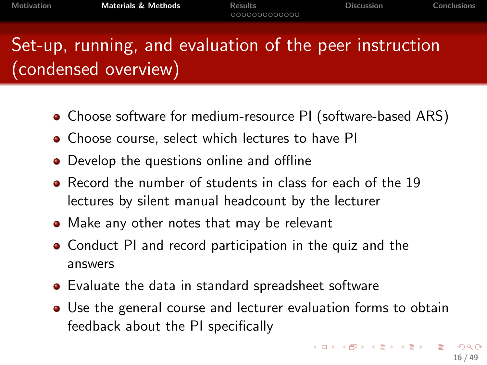# Set-up, running, and evaluation of the peer instruction (condensed overview)

- Choose software for medium-resource PI (software-based ARS)
- Choose course, select which lectures to have PI
- Develop the questions online and offline
- **•** Record the number of students in class for each of the 19 lectures by silent manual headcount by the lecturer
- Make any other notes that may be relevant
- Conduct PI and record participation in the quiz and the answers
- Evaluate the data in standard spreadsheet software
- Use the general course and lecturer evaluation forms to obtain feedback about the PI specifically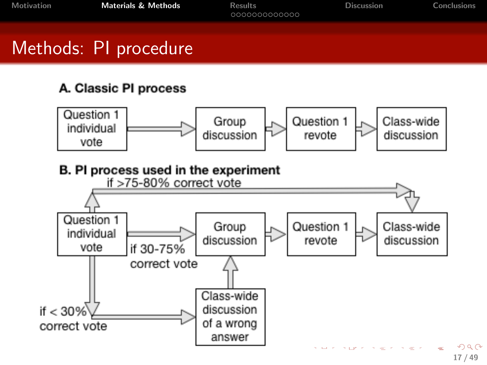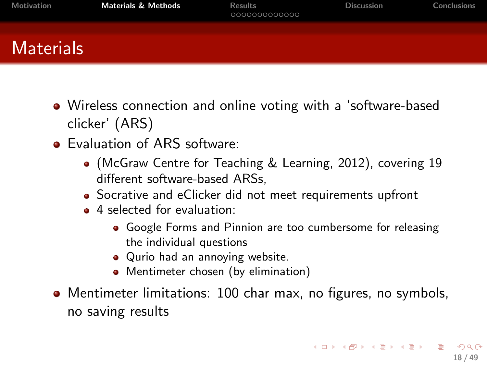| Materials | Motivation | <b>Materials &amp; Methods</b> | <b>Results</b><br>000000000000 | <b>Discussion</b> | Conclusions |
|-----------|------------|--------------------------------|--------------------------------|-------------------|-------------|
|           |            |                                |                                |                   |             |

- Wireless connection and online voting with a 'software-based clicker' (ARS)
- **•** Evaluation of ARS software:
	- (McGraw Centre for Teaching & Learning, 2012), covering 19 different software-based ARSs,
	- Socrative and eClicker did not meet requirements upfront
	- 4 selected for evaluation:
		- Google Forms and Pinnion are too cumbersome for releasing the individual questions
		- Qurio had an annoying website.
		- Mentimeter chosen (by elimination)
- Mentimeter limitations: 100 char max, no figures, no symbols, no saving results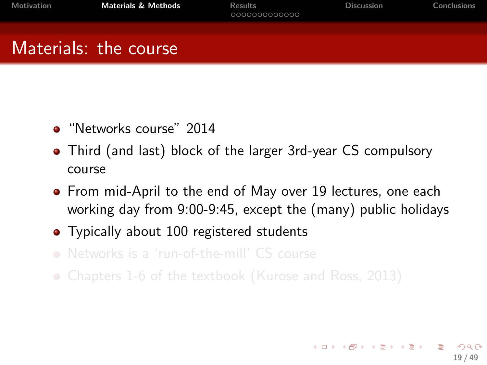# Materials: the course

- "Networks course" 2014
- Third (and last) block of the larger 3rd-year CS compulsory course
- **•** From mid-April to the end of May over 19 lectures, one each working day from 9:00-9:45, except the (many) public holidays
- Typically about 100 registered students
- Networks is a 'run-of-the-mill' CS course
- Chapters 1-6 of the textbook (Kurose and Ross, 2013)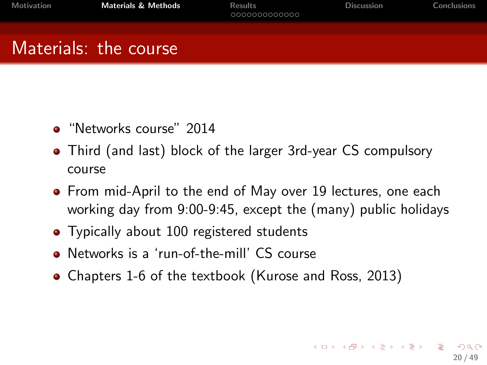$\mathbf{A} \cap \mathbf{D} \rightarrow \mathbf{A} \cap \mathbf{B} \rightarrow \mathbf{A} \oplus \mathbf{B} \rightarrow \mathbf{A} \oplus \mathbf{B} \rightarrow \mathbf{A} \oplus \mathbf{B}$ 

20 / 49

# Materials: the course

- "Networks course" 2014
- Third (and last) block of the larger 3rd-year CS compulsory course
- **•** From mid-April to the end of May over 19 lectures, one each working day from 9:00-9:45, except the (many) public holidays
- Typically about 100 registered students
- Networks is a 'run-of-the-mill' CS course
- Chapters 1-6 of the textbook (Kurose and Ross, 2013)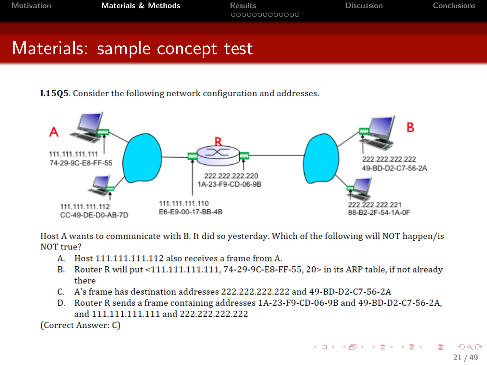[Motivation](#page-2-0) [Materials & Methods](#page-14-0) [Results](#page-21-0) [Discussion](#page-36-0) [Conclusions](#page-41-0)

## Materials: sample concept test

L15Q5. Consider the following network configuration and addresses.



Host A wants to communicate with B. It did so yesterday. Which of the following will NOT happen/is NOT true?

- A. Host 111.111.111.112 also receives a frame from A.
- Router R will put <111.111.111.111, 74-29-9C-E8-FF-55, 20> in its ARP table, if not already **B.** there
- C. A's frame has destination addresses 222.222.222.222 and 49-BD-D2-C7-56-2A
- D. Router R sends a frame containing addresses 1A-23-F9-CD-06-9B and 49-BD-D2-C7-56-2A, and 111.111.111.111 and 222.222.222.222

(Correct Answer: C)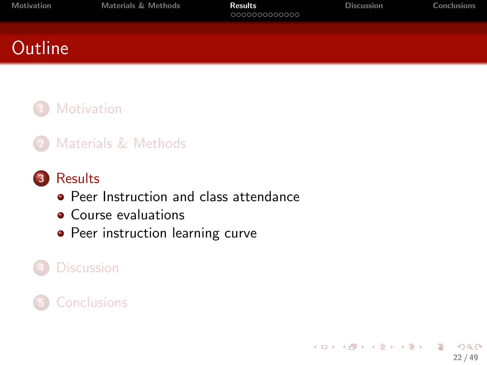<span id="page-21-0"></span>

| <b>Motivation</b> | Materials & Methods | <b>Results</b><br>000000000000 | <b>Discussion</b> | Conclusions |
|-------------------|---------------------|--------------------------------|-------------------|-------------|
| Outline           |                     |                                |                   |             |
|                   |                     |                                |                   |             |

#### **[Motivation](#page-2-0)**

2 [Materials & Methods](#page-14-0)

#### 3 [Results](#page-21-0)

- **[Peer Instruction and class attendance](#page-22-0)**
- [Course evaluations](#page-27-0)
- [Peer instruction learning curve](#page-30-0)

### **[Discussion](#page-36-0)**

#### **[Conclusions](#page-41-0)**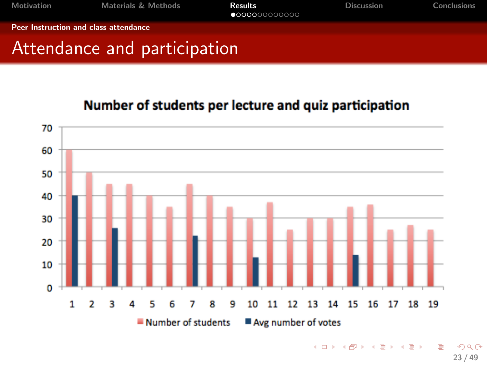<span id="page-22-0"></span>

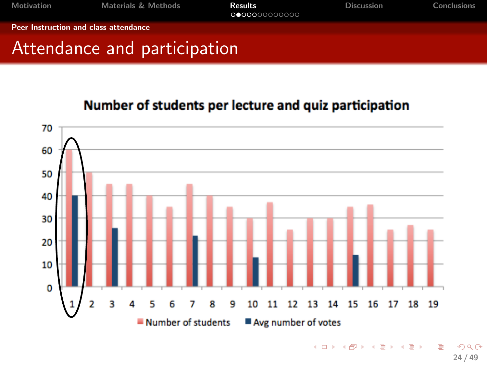<span id="page-23-0"></span>

| Motivation                            | Materials & Methods          | <b>Results</b><br>0000000000000 | <b>Discussion</b> | Conclusions |
|---------------------------------------|------------------------------|---------------------------------|-------------------|-------------|
| Peer Instruction and class attendance |                              |                                 |                   |             |
|                                       | Attendance and participation |                                 |                   |             |



<sup>24 / 49</sup>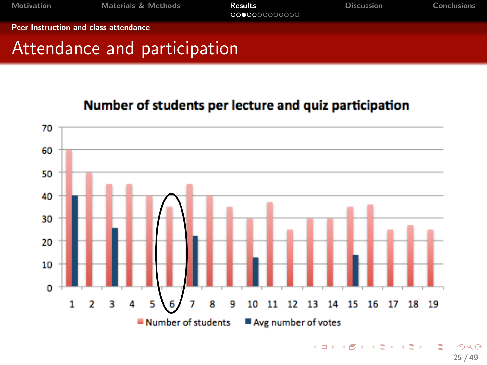<span id="page-24-0"></span>

| Motivation                            | <b>Materials &amp; Methods</b> | <b>Results</b><br>000000000000 | <b>Discussion</b> | Conclusions |
|---------------------------------------|--------------------------------|--------------------------------|-------------------|-------------|
| Peer Instruction and class attendance |                                |                                |                   |             |
|                                       | Attendance and participation   |                                |                   |             |

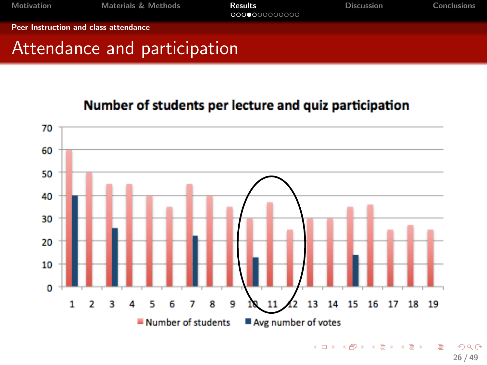<span id="page-25-0"></span>

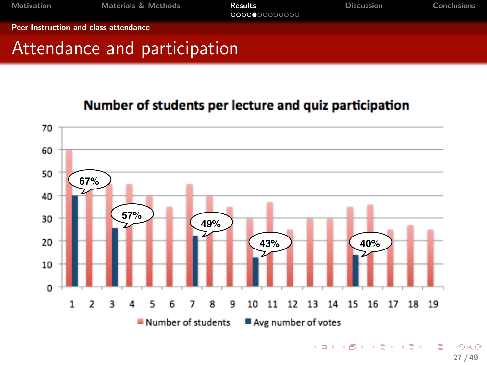<span id="page-26-0"></span>

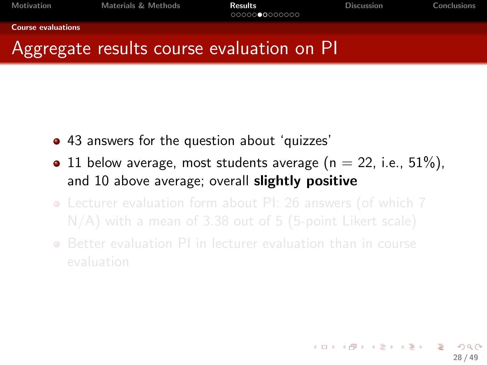#### <span id="page-27-0"></span>[Course evaluations](#page-27-0)

# Aggregate results course evaluation on PI

- 43 answers for the question about 'quizzes'
- 11 below average, most students average ( $n = 22$ , i.e.,  $51\%$ ). and 10 above average; overall slightly positive
- Lecturer evaluation form about PI: 26 answers (of which 7
- Better evaluation PI in lecturer evaluation than in course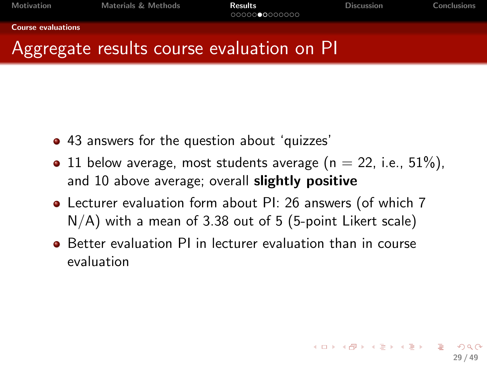<span id="page-28-0"></span>[Motivation](#page-2-0) [Materials & Methods](#page-14-0) [Results](#page-21-0) [Discussion](#page-36-0) [Conclusions](#page-41-0) Conclusions

#### [Course evaluations](#page-28-0)

## Aggregate results course evaluation on PI

- 43 answers for the question about 'quizzes'
- 11 below average, most students average ( $n = 22$ , i.e.,  $51\%$ ). and 10 above average; overall slightly positive
- Lecturer evaluation form about PI: 26 answers (of which 7 N/A) with a mean of 3.38 out of 5 (5-point Likert scale)
- Better evaluation PI in lecturer evaluation than in course evaluation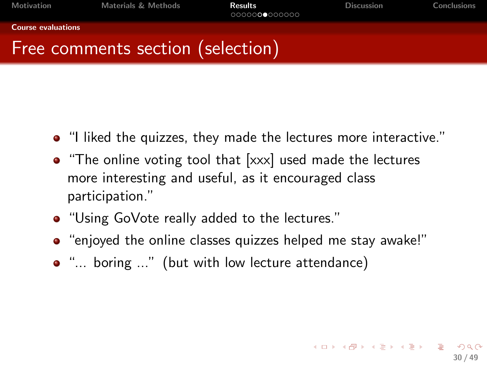<span id="page-29-0"></span>[Motivation](#page-2-0) [Materials & Methods](#page-14-0) [Results](#page-21-0) [Discussion](#page-36-0) [Conclusions](#page-41-0)

30 / 49

K ロ ▶ K @ ▶ K 할 > K 할 > → 할 → ⊙ Q ⊙

[Course evaluations](#page-29-0)

# Free comments section (selection)

- "I liked the quizzes, they made the lectures more interactive."
- "The online voting tool that [xxx] used made the lectures more interesting and useful, as it encouraged class participation."
- "Using GoVote really added to the lectures."
- "enjoyed the online classes quizzes helped me stay awake!"
- "... boring ..." (but with low lecture attendance)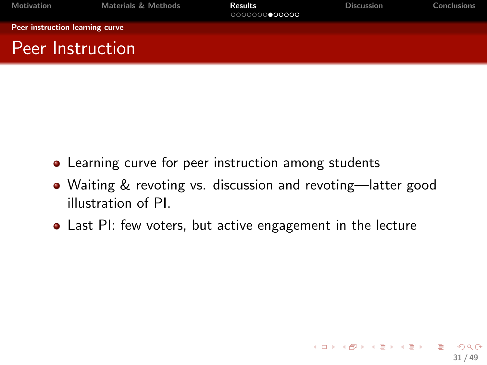<span id="page-30-0"></span>

| <b>Motivation</b>               | <b>Materials &amp; Methods</b> | <b>Results</b><br>0000000000000 | <b>Discussion</b> | <b>Conclusions</b> |
|---------------------------------|--------------------------------|---------------------------------|-------------------|--------------------|
| Peer instruction learning curve |                                |                                 |                   |                    |
| Peer Instruction                |                                |                                 |                   |                    |

- Learning curve for peer instruction among students
- Waiting & revoting vs. discussion and revoting—latter good illustration of PI.
- Last PI: few voters, but active engagement in the lecture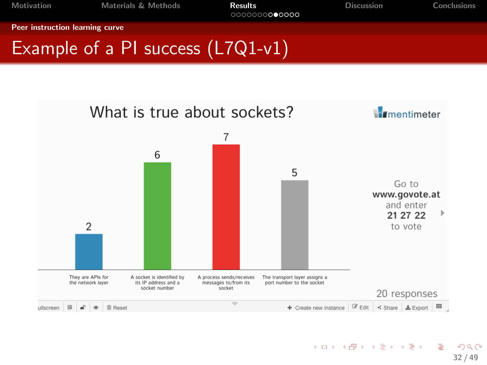<span id="page-31-0"></span>

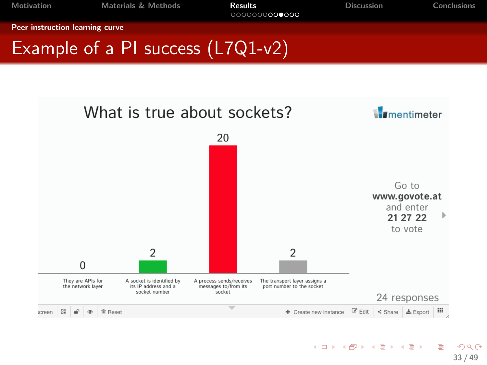<span id="page-32-0"></span>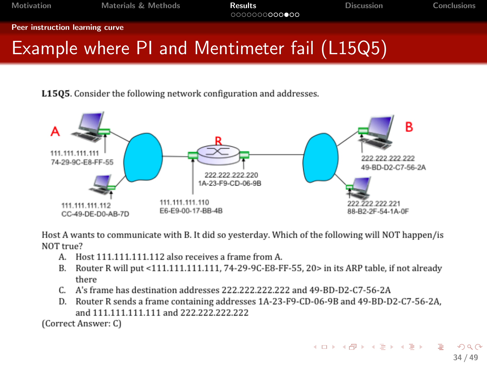<span id="page-33-0"></span>[Motivation](#page-2-0) [Materials & Methods](#page-14-0) [Results](#page-21-0) [Discussion](#page-36-0) [Conclusions](#page-41-0)

[Peer instruction learning curve](#page-33-0)

# Example where PI and Mentimeter fail (L15Q5)

L1505. Consider the following network configuration and addresses.



Host A wants to communicate with B. It did so vesterday. Which of the following will NOT happen/is NOT true?

- A. Host 111.111.111.112 also receives a frame from A.
- B. Router R will put <111.111.111.111.74-29-9C-E8-FF-55. 20> in its ARP table, if not already there
- C. A's frame has destination addresses 222.222.222.222 and 49-BD-D2-C7-56-2A
- D. Router R sends a frame containing addresses 1A-23-F9-CD-06-9B and 49-BD-D2-C7-56-2A. and 111.111.111.111 and 222.222.222.222

(Correct Answer: C)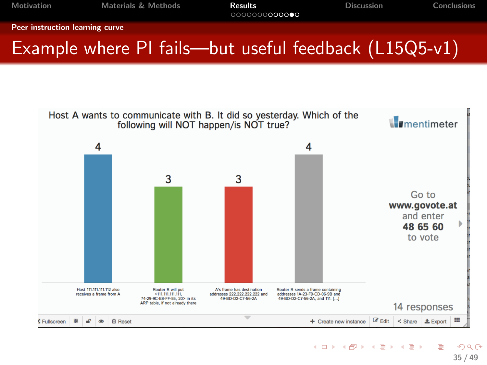<span id="page-34-0"></span>[Motivation](#page-2-0) **[Materials & Methods](#page-14-0)** [Results](#page-21-0) **Results** [Discussion](#page-36-0) [Conclusions](#page-41-0)

[Peer instruction learning curve](#page-34-0)

# Example where PI fails—but useful feedback (L15Q5-v1)

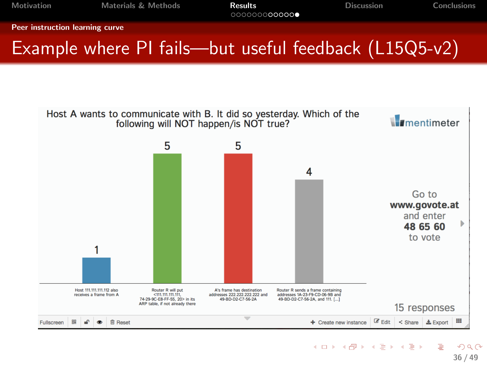<span id="page-35-0"></span>

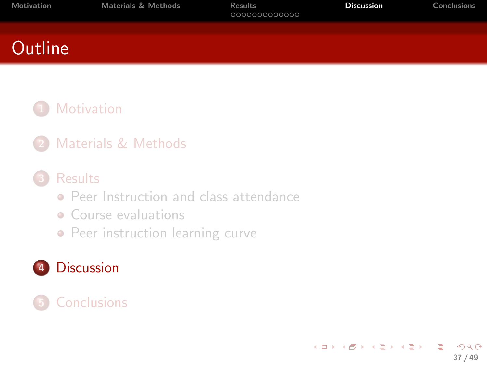<span id="page-36-0"></span>

| Motivation     | <b>Materials &amp; Methods</b> | <b>Results</b><br>000000000000 | <b>Discussion</b> | Conclusions |
|----------------|--------------------------------|--------------------------------|-------------------|-------------|
| <b>Outline</b> |                                |                                |                   |             |
|                |                                |                                |                   |             |

#### **[Motivation](#page-2-0)**

2 [Materials & Methods](#page-14-0)

#### **[Results](#page-21-0)**

- **[Peer Instruction and class attendance](#page-22-0)**
- [Course evaluations](#page-27-0)
- [Peer instruction learning curve](#page-30-0)

#### 4 [Discussion](#page-36-0)

#### **[Conclusions](#page-41-0)**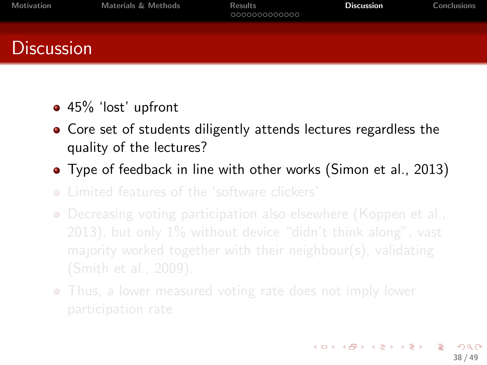| Motivation        | <b>Materials &amp; Methods</b> | <b>Results</b><br>000000000000 | <b>Discussion</b> | Conclusions |
|-------------------|--------------------------------|--------------------------------|-------------------|-------------|
| <b>Discussion</b> |                                |                                |                   |             |

- 45% 'lost' upfront
- Core set of students diligently attends lectures regardless the quality of the lectures?
- Type of feedback in line with other works (Simon et al., 2013)
- 
- Decreasing voting participation also elsewhere (Koppen et al.,
- Thus, a lower measured voting rate does not imply lower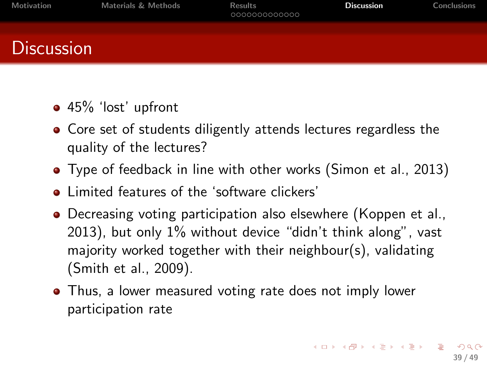| Motivation        | Materials & Methods | <b>Results</b><br>000000000000 | <b>Discussion</b> | Conclusions |
|-------------------|---------------------|--------------------------------|-------------------|-------------|
| <b>Discussion</b> |                     |                                |                   |             |

- 45% 'lost' upfront
- Core set of students diligently attends lectures regardless the quality of the lectures?
- Type of feedback in line with other works (Simon et al., 2013)
- limited features of the 'software clickers'
- Decreasing voting participation also elsewhere (Koppen et al., 2013), but only 1% without device "didn't think along", vast majority worked together with their neighbour(s), validating (Smith et al., 2009).
- Thus, a lower measured voting rate does not imply lower participation rate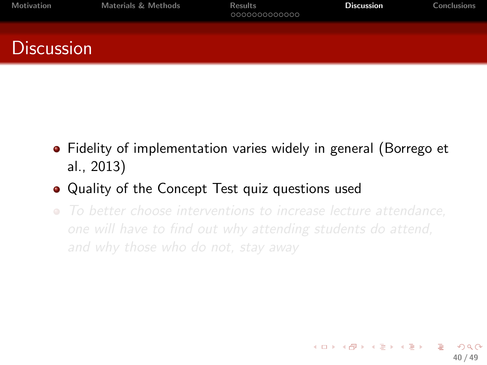| Motivation        | Materials & Methods | <b>Results</b><br>0000000000000 | <b>Discussion</b> | Conclusions |
|-------------------|---------------------|---------------------------------|-------------------|-------------|
| <b>Discussion</b> |                     |                                 |                   |             |

- Fidelity of implementation varies widely in general (Borrego et al., 2013)
- Quality of the Concept Test quiz questions used
- To better choose interventions to increase lecture attendance,

40 / 49

メロメ メ都 メメ きょ メ きょ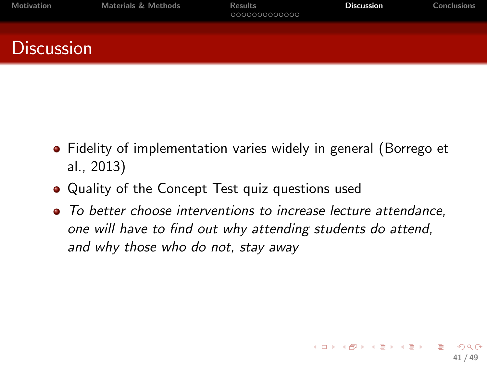| Motivation        | Materials & Methods | Results<br>0000000000000 | <b>Discussion</b> | Conclusions |
|-------------------|---------------------|--------------------------|-------------------|-------------|
| <b>Discussion</b> |                     |                          |                   |             |

- Fidelity of implementation varies widely in general (Borrego et al., 2013)
- Quality of the Concept Test quiz questions used
- To better choose interventions to increase lecture attendance, one will have to find out why attending students do attend, and why those who do not, stay away

41 / 49

K ロ > K d > K 경 > K 경 > X 경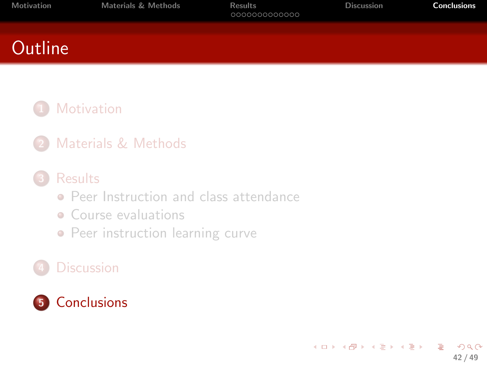<span id="page-41-0"></span>

| Motivation     | Materials & Methods | Results<br>000000000000 | <b>Discussion</b> | Conclusions |
|----------------|---------------------|-------------------------|-------------------|-------------|
| <b>Outline</b> |                     |                         |                   |             |
|                |                     |                         |                   |             |

#### **[Motivation](#page-2-0)**

2 [Materials & Methods](#page-14-0)

#### **[Results](#page-21-0)**

- **[Peer Instruction and class attendance](#page-22-0)**
- [Course evaluations](#page-27-0)
- [Peer instruction learning curve](#page-30-0)

#### **[Discussion](#page-36-0)**

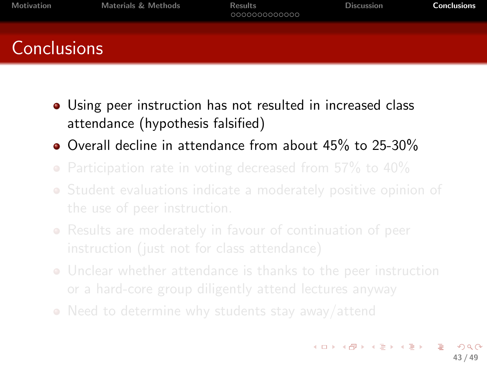| Motivation         | <b>Materials &amp; Methods</b> | <b>Results</b><br>0000000000000 | <b>Discussion</b> | <b>Conclusions</b> |
|--------------------|--------------------------------|---------------------------------|-------------------|--------------------|
| <b>Conclusions</b> |                                |                                 |                   |                    |

- Using peer instruction has not resulted in increased class attendance (hypothesis falsified)
- Overall decline in attendance from about 45% to 25-30%
- Participation rate in voting decreased from 57% to 40%
- Student evaluations indicate a moderately positive opinion of
- Results are moderately in favour of continuation of peer
- Unclear whether attendance is thanks to the peer instruction
- Need to determine why students stay away/attend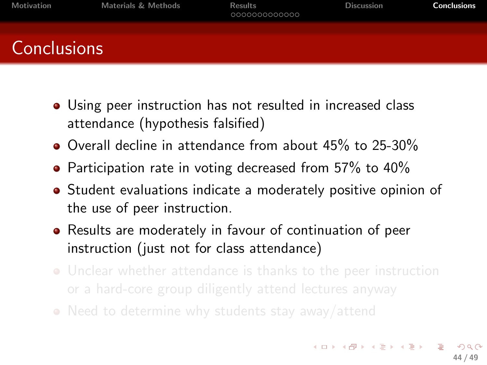| Motivation         | <b>Materials &amp; Methods</b> | <b>Results</b><br>000000000000 | <b>Discussion</b> | <b>Conclusions</b> |
|--------------------|--------------------------------|--------------------------------|-------------------|--------------------|
| <b>Conclusions</b> |                                |                                |                   |                    |

- Using peer instruction has not resulted in increased class attendance (hypothesis falsified)
- Overall decline in attendance from about 45% to 25-30%
- Participation rate in voting decreased from 57% to 40%
- Student evaluations indicate a moderately positive opinion of the use of peer instruction.
- Results are moderately in favour of continuation of peer instruction (just not for class attendance)
- Unclear whether attendance is thanks to the peer instruction
- Need to determine why students stay away/attend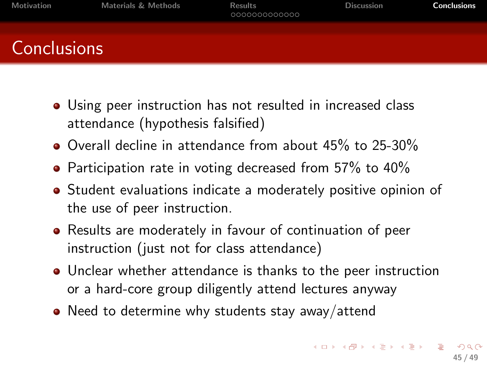| Motivation         | <b>Materials &amp; Methods</b> | <b>Results</b><br>000000000000 | <b>Discussion</b> | <b>Conclusions</b> |
|--------------------|--------------------------------|--------------------------------|-------------------|--------------------|
| <b>Conclusions</b> |                                |                                |                   |                    |

- Using peer instruction has not resulted in increased class attendance (hypothesis falsified)
- Overall decline in attendance from about 45% to 25-30%
- Participation rate in voting decreased from 57% to 40%
- **•** Student evaluations indicate a moderately positive opinion of the use of peer instruction.
- Results are moderately in favour of continuation of peer instruction (just not for class attendance)
- Unclear whether attendance is thanks to the peer instruction or a hard-core group diligently attend lectures anyway
- Need to determine why students stay away/attend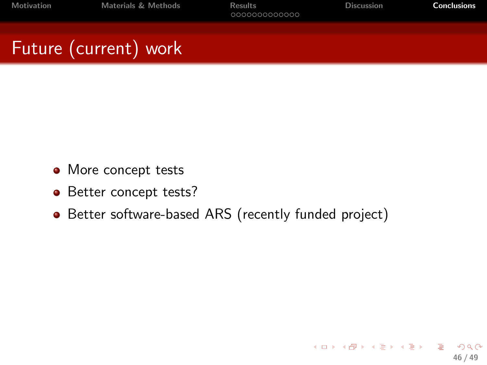- More concept tests
- Better concept tests?
- Better software-based ARS (recently funded project)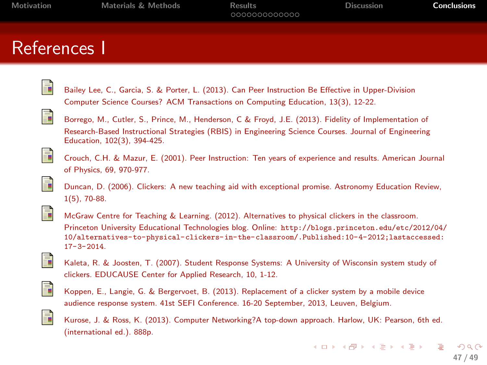[Motivation](#page-2-0) [Materials & Methods](#page-14-0) [Results](#page-21-0) [Discussion](#page-36-0) [Conclusions](#page-41-0)

#### References I

| Bailey Lee, C., Garcia, S. & Porter, L. (2013). Can Peer Instruction Be Effective in Upper-Division |
|-----------------------------------------------------------------------------------------------------|
| Computer Science Courses? ACM Transactions on Computing Education, 13(3), 12-22.                    |



Borrego, M., Cutler, S., Prince, M., Henderson, C & Froyd, J.E. (2013). Fidelity of Implementation of Research-Based Instructional Strategies (RBIS) in Engineering Science Courses. Journal of Engineering Education, 102(3), 394-425.



Crouch, C.H. & Mazur, E. (2001). Peer Instruction: Ten years of experience and results. American Journal of Physics, 69, 970-977.





F

McGraw Centre for Teaching & Learning. (2012). Alternatives to physical clickers in the classroom. Princeton University Educational Technologies blog. Online: [http://blogs.princeton.edu/etc/2012/04/](http://blogs.princeton.edu/etc/2012/04/10/alternatives-to-physical-clickers-in-the-classroom/. Published: 10-4-2012; last accessed: 17-3-2014) [10/alternatives-to-physical-clickers-in-the-classroom/.Published:10-4-2012;lastaccessed:](http://blogs.princeton.edu/etc/2012/04/10/alternatives-to-physical-clickers-in-the-classroom/. Published: 10-4-2012; last accessed: 17-3-2014) [17-3-2014](http://blogs.princeton.edu/etc/2012/04/10/alternatives-to-physical-clickers-in-the-classroom/. Published: 10-4-2012; last accessed: 17-3-2014).



Kaleta, R. & Joosten, T. (2007). Student Response Systems: A University of Wisconsin system study of clickers. EDUCAUSE Center for Applied Research, 10, 1-12.



Koppen, E., Langie, G. & Bergervoet, B. (2013). Replacement of a clicker system by a mobile device audience response system. 41st SEFI Conference. 16-20 September, 2013, Leuven, Belgium.



Kurose, J. & Ross, K. (2013). Computer Networking?A top-down approach. Harlow, UK: Pearson, 6th ed. (international ed.). 888p.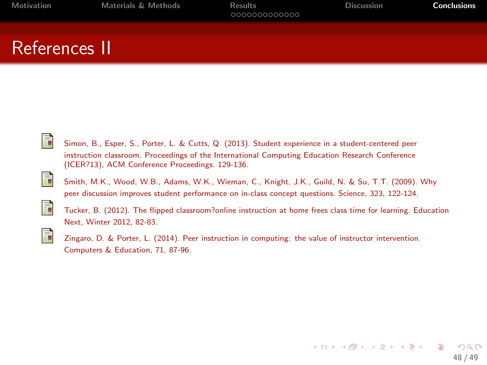### References II



Simon, B., Esper, S., Porter, L. & Cutts, Q. (2013). Student experience in a student-centered peer instruction classroom. Proceedings of the International Computing Education Research Conference (ICER?13), ACM Conference Proceedings. 129-136.



Smith, M.K., Wood, W.B., Adams, W.K., Wieman, C., Knight, J.K., Guild, N. & Su, T.T. (2009). Why peer discussion improves student performance on in-class concept questions. Science, 323, 122-124.



Tucker, B. (2012). The flipped classroom?online instruction at home frees class time for learning. Education Next, Winter 2012, 82-83.



Zingaro, D. & Porter, L. (2014). Peer instruction in computing: the value of instructor intervention. Computers & Education, 71, 87-96.